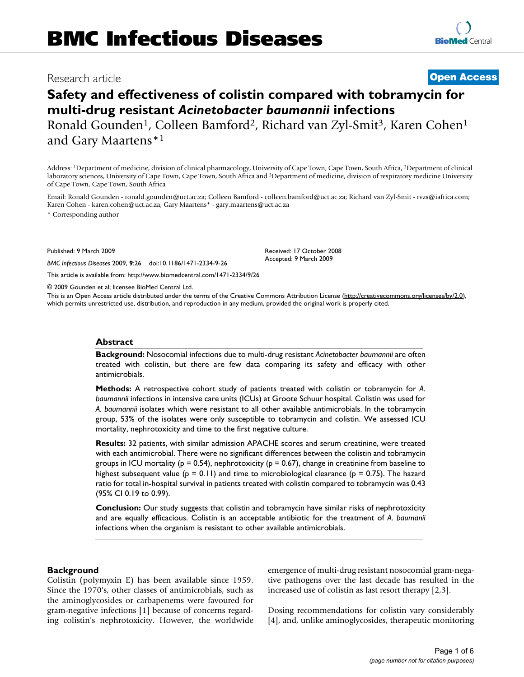# Research article **[Open Access](http://www.biomedcentral.com/info/about/charter/)**

# **Safety and effectiveness of colistin compared with tobramycin for multi-drug resistant** *Acinetobacter baumannii* **infections**

Ronald Gounden<sup>1</sup>, Colleen Bamford<sup>2</sup>, Richard van Zyl-Smit<sup>3</sup>, Karen Cohen<sup>1</sup> and Gary Maartens\*1

Address: 1Department of medicine, division of clinical pharmacology, University of Cape Town, Cape Town, South Africa, 2Department of clinical laboratory sciences, University of Cape Town, Cape Town, South Africa and 3Department of medicine, division of respiratory medicine University of Cape Town, Cape Town, South Africa

Email: Ronald Gounden - ronald.gounden@uct.ac.za; Colleen Bamford - colleen.bamford@uct.ac.za; Richard van Zyl-Smit - rvzs@iafrica.com; Karen Cohen - karen.cohen@uct.ac.za; Gary Maartens\* - gary.maartens@uct.ac.za

\* Corresponding author

Published: 9 March 2009

*BMC Infectious Diseases* 2009, **9**:26 doi:10.1186/1471-2334-9-26

[This article is available from: http://www.biomedcentral.com/1471-2334/9/26](http://www.biomedcentral.com/1471-2334/9/26)

© 2009 Gounden et al; licensee BioMed Central Ltd.

This is an Open Access article distributed under the terms of the Creative Commons Attribution License [\(http://creativecommons.org/licenses/by/2.0\)](http://creativecommons.org/licenses/by/2.0), which permits unrestricted use, distribution, and reproduction in any medium, provided the original work is properly cited.

#### **Abstract**

**Background:** Nosocomial infections due to multi-drug resistant *Acinetobacter baumannii* are often treated with colistin, but there are few data comparing its safety and efficacy with other antimicrobials.

**Methods:** A retrospective cohort study of patients treated with colistin or tobramycin for *A. baumannii* infections in intensive care units (ICUs) at Groote Schuur hospital. Colistin was used for *A. baumannii* isolates which were resistant to all other available antimicrobials. In the tobramycin group, 53% of the isolates were only susceptible to tobramycin and colistin. We assessed ICU mortality, nephrotoxicity and time to the first negative culture.

**Results:** 32 patients, with similar admission APACHE scores and serum creatinine, were treated with each antimicrobial. There were no significant differences between the colistin and tobramycin groups in ICU mortality ( $p = 0.54$ ), nephrotoxicity ( $p = 0.67$ ), change in creatinine from baseline to highest subsequent value ( $p = 0.11$ ) and time to microbiological clearance ( $p = 0.75$ ). The hazard ratio for total in-hospital survival in patients treated with colistin compared to tobramycin was 0.43 (95% CI 0.19 to 0.99).

**Conclusion:** Our study suggests that colistin and tobramycin have similar risks of nephrotoxicity and are equally efficacious. Colistin is an acceptable antibiotic for the treatment of *A. baumanii* infections when the organism is resistant to other available antimicrobials.

# **Background**

Colistin (polymyxin E) has been available since 1959. Since the 1970's, other classes of antimicrobials, such as the aminoglycosides or carbapenems were favoured for gram-negative infections [1] because of concerns regarding colistin's nephrotoxicity. However, the worldwide emergence of multi-drug resistant nosocomial gram-negative pathogens over the last decade has resulted in the increased use of colistin as last resort therapy [2,3].

Dosing recommendations for colistin vary considerably [4], and, unlike aminoglycosides, therapeutic monitoring

Received: 17 October 2008 Accepted: 9 March 2009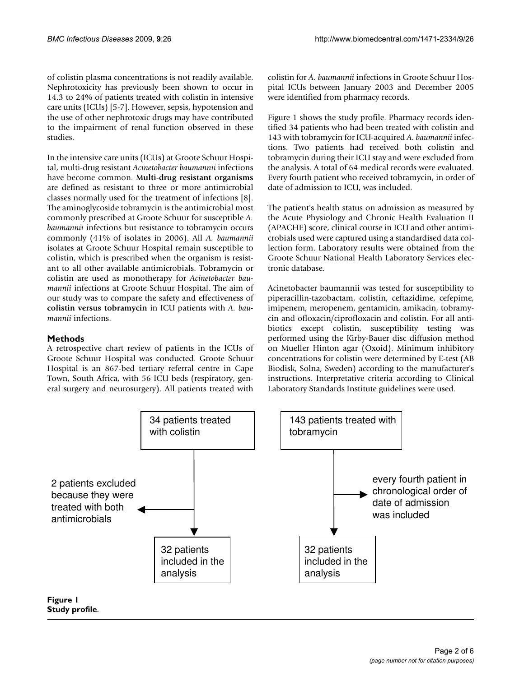of colistin plasma concentrations is not readily available. Nephrotoxicity has previously been shown to occur in 14.3 to 24% of patients treated with colistin in intensive care units (ICUs) [5-7]. However, sepsis, hypotension and the use of other nephrotoxic drugs may have contributed to the impairment of renal function observed in these studies.

In the intensive care units (ICUs) at Groote Schuur Hospital, multi-drug resistant *Acinetobacter baumannii* infections have become common. **Multi-drug resistant organisms** are defined as resistant to three or more antimicrobial classes normally used for the treatment of infections [8]. The aminoglycoside tobramycin is the antimicrobial most commonly prescribed at Groote Schuur for susceptible *A. baumannii* infections but resistance to tobramycin occurs commonly (41% of isolates in 2006). All *A. baumannii* isolates at Groote Schuur Hospital remain susceptible to colistin, which is prescribed when the organism is resistant to all other available antimicrobials. Tobramycin or colistin are used as monotherapy for *Acinetobacter baumannii* infections at Groote Schuur Hospital. The aim of our study was to compare the safety and effectiveness of **colistin versus tobramycin** in ICU patients with *A. baumannii* infections.

# **Methods**

A retrospective chart review of patients in the ICUs of Groote Schuur Hospital was conducted. Groote Schuur Hospital is an 867-bed tertiary referral centre in Cape Town, South Africa, with 56 ICU beds (respiratory, general surgery and neurosurgery). All patients treated with colistin for *A. baumannii* infections in Groote Schuur Hospital ICUs between January 2003 and December 2005 were identified from pharmacy records.

Figure 1 shows the study profile. Pharmacy records identified 34 patients who had been treated with colistin and 143 with tobramycin for ICU-acquired *A. baumannii* infections. Two patients had received both colistin and tobramycin during their ICU stay and were excluded from the analysis. A total of 64 medical records were evaluated. Every fourth patient who received tobramycin, in order of date of admission to ICU, was included.

The patient's health status on admission as measured by the Acute Physiology and Chronic Health Evaluation II (APACHE) score, clinical course in ICU and other antimicrobials used were captured using a standardised data collection form. Laboratory results were obtained from the Groote Schuur National Health Laboratory Services electronic database.

Acinetobacter baumannii was tested for susceptibility to piperacillin-tazobactam, colistin, ceftazidime, cefepime, imipenem, meropenem, gentamicin, amikacin, tobramycin and ofloxacin/ciprofloxacin and colistin. For all antibiotics except colistin, susceptibility testing was performed using the Kirby-Bauer disc diffusion method on Mueller Hinton agar (Oxoid). Minimum inhibitory concentrations for colistin were determined by E-test (AB Biodisk, Solna, Sweden) according to the manufacturer's instructions. Interpretative criteria according to Clinical Laboratory Standards Institute guidelines were used.

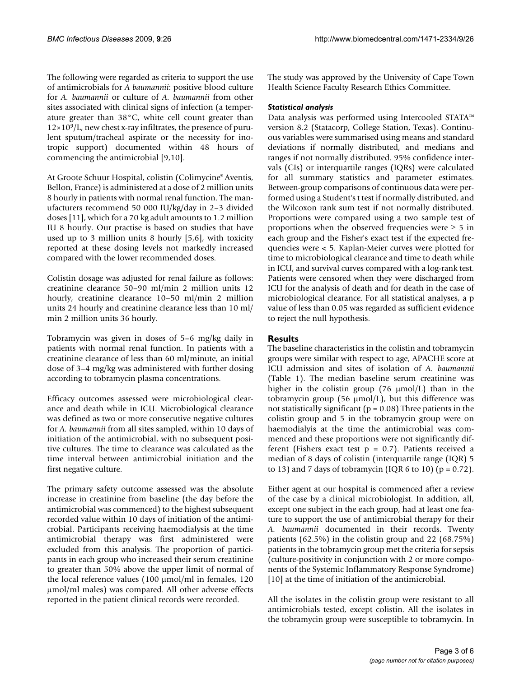The following were regarded as criteria to support the use of antimicrobials for *A baumannii*: positive blood culture for *A. baumannii* or culture of *A. baumannii* from other sites associated with clinical signs of infection (a temperature greater than 38°C, white cell count greater than  $12\times10^9$ /L, new chest x-ray infiltrates, the presence of purulent sputum/tracheal aspirate or the necessity for inotropic support) documented within 48 hours of commencing the antimicrobial [9[,10](#page-5-0)].

At Groote Schuur Hospital, colistin (Colimycine® Aventis, Bellon, France) is administered at a dose of 2 million units 8 hourly in patients with normal renal function. The manufacturers recommend 50 000 IU/kg/day in 2–3 divided doses [11], which for a 70 kg adult amounts to 1.2 million IU 8 hourly. Our practise is based on studies that have used up to 3 million units 8 hourly [5,6], with toxicity reported at these dosing levels not markedly increased compared with the lower recommended doses.

Colistin dosage was adjusted for renal failure as follows: creatinine clearance 50–90 ml/min 2 million units 12 hourly, creatinine clearance 10-50 ml/min 2 million units 24 hourly and creatinine clearance less than 10 ml/ min 2 million units 36 hourly.

Tobramycin was given in doses of 5–6 mg/kg daily in patients with normal renal function. In patients with a creatinine clearance of less than 60 ml/minute, an initial dose of 3–4 mg/kg was administered with further dosing according to tobramycin plasma concentrations.

Efficacy outcomes assessed were microbiological clearance and death while in ICU. Microbiological clearance was defined as two or more consecutive negative cultures for *A. baumannii* from all sites sampled, within 10 days of initiation of the antimicrobial, with no subsequent positive cultures. The time to clearance was calculated as the time interval between antimicrobial initiation and the first negative culture.

The primary safety outcome assessed was the absolute increase in creatinine from baseline (the day before the antimicrobial was commenced) to the highest subsequent recorded value within 10 days of initiation of the antimicrobial. Participants receiving haemodialysis at the time antimicrobial therapy was first administered were excluded from this analysis. The proportion of participants in each group who increased their serum creatinine to greater than 50% above the upper limit of normal of the local reference values (100 μmol/ml in females, 120 μmol/ml males) was compared. All other adverse effects reported in the patient clinical records were recorded.

The study was approved by the University of Cape Town Health Science Faculty Research Ethics Committee.

# *Statistical analysis*

Data analysis was performed using Intercooled STATA™ version 8.2 (Statacorp, College Station, Texas). Continuous variables were summarised using means and standard deviations if normally distributed, and medians and ranges if not normally distributed. 95% confidence intervals (CIs) or interquartile ranges (IQRs) were calculated for all summary statistics and parameter estimates. Between-group comparisons of continuous data were performed using a Student's t test if normally distributed, and the Wilcoxon rank sum test if not normally distributed. Proportions were compared using a two sample test of proportions when the observed frequencies were  $\geq 5$  in each group and the Fisher's exact test if the expected frequencies were < 5. Kaplan-Meier curves were plotted for time to microbiological clearance and time to death while in ICU, and survival curves compared with a log-rank test. Patients were censored when they were discharged from ICU for the analysis of death and for death in the case of microbiological clearance. For all statistical analyses, a p value of less than 0.05 was regarded as sufficient evidence to reject the null hypothesis.

# **Results**

The baseline characteristics in the colistin and tobramycin groups were similar with respect to age, APACHE score at ICU admission and sites of isolation of *A. baumannii* (Table 1). The median baseline serum creatinine was higher in the colistin group (76 μmol/L) than in the tobramycin group (56 μmol/L), but this difference was not statistically significant ( $p = 0.08$ ) Three patients in the colistin group and 5 in the tobramycin group were on haemodialyis at the time the antimicrobial was commenced and these proportions were not significantly different (Fishers exact test  $p = 0.7$ ). Patients received a median of 8 days of colistin (interquartile range (IQR) 5 to 13) and 7 days of tobramycin (IQR 6 to 10) ( $p = 0.72$ ).

Either agent at our hospital is commenced after a review of the case by a clinical microbiologist. In addition, all, except one subject in the each group, had at least one feature to support the use of antimicrobial therapy for their *A. baumannii* documented in their records. Twenty patients (62.5%) in the colistin group and 22 (68.75%) patients in the tobramycin group met the criteria for sepsis (culture-positivity in conjunction with 2 or more components of the Systemic Inflammatory Response Syndrome) [[10](#page-5-0)] at the time of initiation of the antimicrobial.

All the isolates in the colistin group were resistant to all antimicrobials tested, except colistin. All the isolates in the tobramycin group were susceptible to tobramycin. In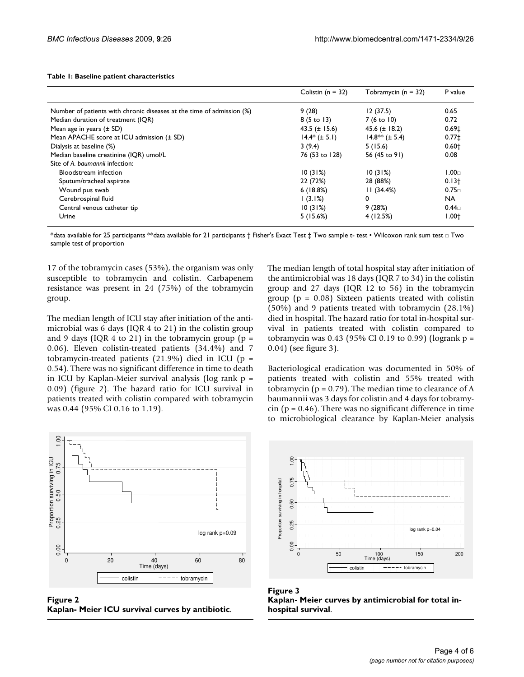|  | Table 1: Baseline patient characteristics |
|--|-------------------------------------------|
|--|-------------------------------------------|

|                                                                       | Colistin ( $n = 32$ ) | Tobramycin ( $n = 32$ ) | P value           |
|-----------------------------------------------------------------------|-----------------------|-------------------------|-------------------|
| Number of patients with chronic diseases at the time of admission (%) | 9(28)                 | 12(37.5)                | 0.65              |
| Median duration of treatment (IQR)                                    | $8(5 \text{ to } 13)$ | $7(6 \text{ to } 10)$   | 0.72              |
| Mean age in years $(\pm SD)$                                          | 43.5 $(\pm 15.6)$     | 45.6 $(\pm$ 18.2)       | 0.69 <sub>‡</sub> |
| Mean APACHE score at ICU admission (± SD)                             | $14.4*$ ( $\pm$ 5.1)  | $14.8**$ ( $\pm$ 5.4)   | $0.77 \pm$        |
| Dialysis at baseline (%)                                              | 3(9.4)                | 5(15.6)                 | $0.60+$           |
| Median baseline creatinine (IQR) umol/L                               | 76 (53 to 128)        | 56 (45 to 91)           | 0.08              |
| Site of A. baumannii infection:                                       |                       |                         |                   |
| Bloodstream infection                                                 | 10(31%)               | 10(31%)                 | 1.00 <sub>0</sub> |
| Sputum/tracheal aspirate                                              | 22 (72%)              | 28 (88%)                | $0.13+$           |
| Wound pus swab                                                        | 6(18.8%)              | 11(34.4%)               | 0.75 <sub>0</sub> |
| Cerebrospinal fluid                                                   | (3.1%)                | 0                       | <b>NA</b>         |
| Central venous catheter tip                                           | 10(31%)               | 9(28%)                  | 0.44 <sub>⊓</sub> |
| Urine                                                                 | 5(15.6%)              | 4(12.5%)                | $1.00 +$          |

\*data available for 25 participants \*\*data available for 21 participants † Fisher's Exact Test ‡ Two sample t- test • Wilcoxon rank sum test □ Two sample test of proportion

17 of the tobramycin cases (53%), the organism was only susceptible to tobramycin and colistin. Carbapenem resistance was present in 24 (75%) of the tobramycin group.

The median length of ICU stay after initiation of the antimicrobial was 6 days (IQR 4 to 21) in the colistin group and 9 days (IQR 4 to 21) in the tobramycin group ( $p =$ 0.06). Eleven colistin-treated patients (34.4%) and 7 tobramycin-treated patients (21.9%) died in ICU ( $p =$ 0.54). There was no significant difference in time to death in ICU by Kaplan-Meier survival analysis (log rank  $p =$ 0.09) (figure 2). The hazard ratio for ICU survival in patients treated with colistin compared with tobramycin was 0.44 (95% CI 0.16 to 1.19).



**Figure 2** 

The median length of total hospital stay after initiation of the antimicrobial was 18 days (IQR 7 to 34) in the colistin group and 27 days (IQR 12 to 56) in the tobramycin group ( $p = 0.08$ ) Sixteen patients treated with colistin (50%) and 9 patients treated with tobramycin (28.1%) died in hospital. The hazard ratio for total in-hospital survival in patients treated with colistin compared to tobramycin was 0.43 (95% CI 0.19 to 0.99) (logrank  $p =$ 0.04) (see figure 3).

Bacteriological eradication was documented in 50% of patients treated with colistin and 55% treated with tobramycin ( $p = 0.79$ ). The median time to clearance of A baumannii was 3 days for colistin and 4 days for tobramy- $\sin$  (p = 0.46). There was no significant difference in time to microbiological clearance by Kaplan-Meier analysis



Figure 3 **Kaplan- Meier curves by antimicrobial for total in-**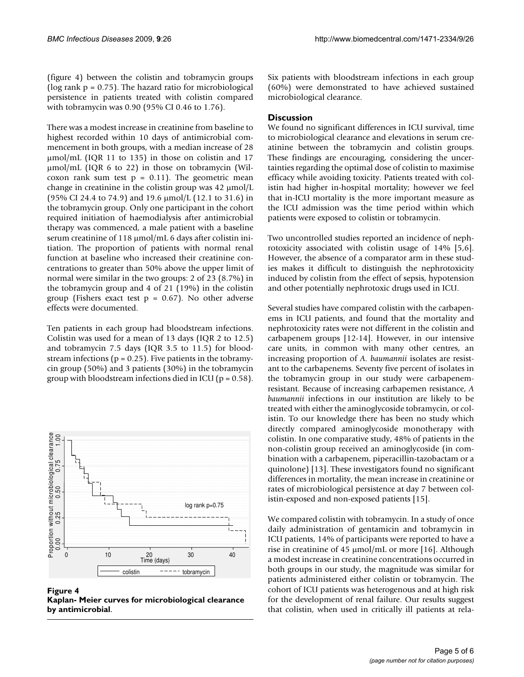(figure 4) between the colistin and tobramycin groups ( $log$  rank  $p = 0.75$ ). The hazard ratio for microbiological persistence in patients treated with colistin compared with tobramycin was 0.90 (95% CI 0.46 to 1.76).

There was a modest increase in creatinine from baseline to highest recorded within 10 days of antimicrobial commencement in both groups, with a median increase of 28 μmol/mL (IQR 11 to 135) in those on colistin and 17 μmol/mL (IQR 6 to 22) in those on tobramycin (Wilcoxon rank sum test  $p = 0.11$ . The geometric mean change in creatinine in the colistin group was 42 μmol/L (95% CI 24.4 to 74.9) and 19.6 μmol/L (12.1 to 31.6) in the tobramycin group. Only one participant in the cohort required initiation of haemodialysis after antimicrobial therapy was commenced, a male patient with a baseline serum creatinine of 118 μmol/mL 6 days after colistin initiation. The proportion of patients with normal renal function at baseline who increased their creatinine concentrations to greater than 50% above the upper limit of normal were similar in the two groups: 2 of 23 (8.7%) in the tobramycin group and 4 of 21 (19%) in the colistin group (Fishers exact test  $p = 0.67$ ). No other adverse effects were documented.

Ten patients in each group had bloodstream infections. Colistin was used for a mean of 13 days (IQR 2 to 12.5) and tobramycin 7.5 days (IQR 3.5 to 11.5) for bloodstream infections ( $p = 0.25$ ). Five patients in the tobramycin group (50%) and 3 patients (30%) in the tobramycin group with bloodstream infections died in ICU ( $p = 0.58$ ).



Figure 4 **Kaplan- Meier curves for microbiological clearance** 

Six patients with bloodstream infections in each group (60%) were demonstrated to have achieved sustained microbiological clearance.

# **Discussion**

We found no significant differences in ICU survival, time to microbiological clearance and elevations in serum creatinine between the tobramycin and colistin groups. These findings are encouraging, considering the uncertainties regarding the optimal dose of colistin to maximise efficacy while avoiding toxicity. Patients treated with colistin had higher in-hospital mortality; however we feel that in-ICU mortality is the more important measure as the ICU admission was the time period within which patients were exposed to colistin or tobramycin.

Two uncontrolled studies reported an incidence of nephrotoxicity associated with colistin usage of 14% [5,6]. However, the absence of a comparator arm in these studies makes it difficult to distinguish the nephrotoxicity induced by colistin from the effect of sepsis, hypotension and other potentially nephrotoxic drugs used in ICU.

Several studies have compared colistin with the carbapenems in ICU patients, and found that the mortality and nephrotoxicity rates were not different in the colistin and carbapenem groups [12-14]. However, in our intensive care units, in common with many other centres, an increasing proportion of *A. baumannii* isolates are resistant to the carbapenems. Seventy five percent of isolates in the tobramycin group in our study were carbapenemresistant. Because of increasing carbapemen resistance, *A baumannii* infections in our institution are likely to be treated with either the aminoglycoside tobramycin, or colistin. To our knowledge there has been no study which directly compared aminoglycoside monotherapy with colistin. In one comparative study, 48% of patients in the non-colistin group received an aminoglycoside (in combination with a carbapenem, piperacillin-tazobactam or a quinolone) [13]. These investigators found no significant differences in mortality, the mean increase in creatinine or rates of microbiological persistence at day 7 between colistin-exposed and non-exposed patients [15].

We compared colistin with tobramycin. In a study of once daily administration of gentamicin and tobramycin in ICU patients, 14% of participants were reported to have a rise in creatinine of 45 μmol/mL or more [16]. Although a modest increase in creatinine concentrations occurred in both groups in our study, the magnitude was similar for patients administered either colistin or tobramycin. The cohort of ICU patients was heterogenous and at high risk for the development of renal failure. Our results suggest that colistin, when used in critically ill patients at rela